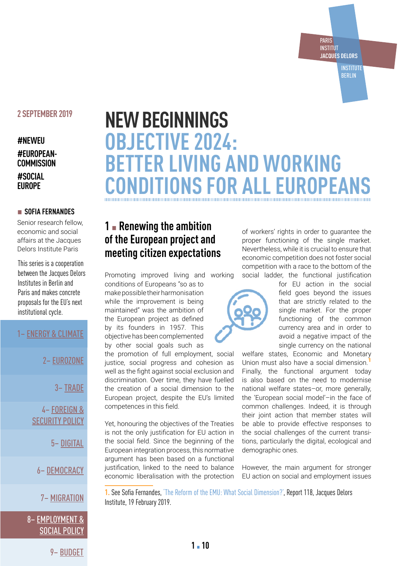#### **INSTITUT JACQUES DELORS**

PARIS

**INSTITUTE** BERLIN

### **2 SEPTEMBER 2019**

### **#NEWEU #EUROPEAN-COMMISSION #SOCIAL EUROPE**

#### ▪ **SOFIA FERNANDES**

Senior research fellow, economic and social affairs at the Jacques Delors Institute Paris

This series is a cooperation between the Jacques Delors Institutes in Berlin and Paris and makes concrete proposals for the EU's next institutional cycle.

### 1– [ENERGY & CLIMATE](https://institutdelors.eu/publications/the-european-green-deal-starts-with-the-energy-transition/)

2– [EUROZONE](https://institutdelors.eu/publications/a-new-approach-to-eurozone-reform/)

3– [TRADE](https://institutdelors.eu/publications/a-greener-and-more-inclusive-trade-policy/)

4– [FOREIGN &](https://institutdelors.eu/publications/bolstering-eu-foreign-and-security-policy-in-times-of-contestation/)  [SECURITY POLICY](https://institutdelors.eu/publications/bolstering-eu-foreign-and-security-policy-in-times-of-contestation/)

5– [DIGITAL](https://institutdelors.eu/publications/challenges-for-eu-digital-and-innovation-policy/)

6– [DEMOCRACY](https://institutdelors.eu/publications/europeans-face-the-risk-of-democratic-regression-what-can-be-done/)

7– [MIGRATION](https://institutdelors.eu/publications/a-fresh-start-in-eu-asylum-policy/)

## 8– [EMPLOYMENT &](https://institutdelors.eu/publications/objective-2024-better-living-and-working-conditions-for-all-europeans/)  [SOCIAL POLICY](https://institutdelors.eu/publications/objective-2024-better-living-and-working-conditions-for-all-europeans/)

# **NEW BEGINNINGS OBJECTIVE 2024: BETTER LIVING AND WORKING CONDITIONS FOR ALL EUROPEAN**

# **1** ▪ **Renewing the ambition of the European project and meeting citizen expectations**

Promoting improved living and working

conditions of Europeans "so as to make possible their harmonisation while the improvement is being maintained" was the ambition of the European project as defined by its founders in 1957. This objective has been complemented by other social goals such as

the promotion of full employment, social justice, social progress and cohesion as well as the fight against social exclusion and discrimination. Over time, they have fuelled the creation of a social dimension to the European project, despite the EU's limited competences in this field.

Yet, honouring the objectives of the Treaties is not the only justification for EU action in the social field. Since the beginning of the European integration process, this normative argument has been based on a functional justification, linked to the need to balance economic liberalisation with the protection

of workers' rights in order to guarantee the proper functioning of the single market. Nevertheless, while it is crucial to ensure that economic competition does not foster social competition with a race to the bottom of the social ladder, the functional justification



for EU action in the social field goes beyond the issues that are strictly related to the single market. For the proper functioning of the common currency area and in order to avoid a negative impact of the single currency on the national

welfare states, Economic and Monetary Union must also have a social dimension. Finally, the functional argument today is also based on the need to modernise national welfare states–or, more generally, the 'European social model'–in the face of common challenges. Indeed, it is through their joint action that member states will be able to provide effective responses to the social challenges of the current transitions, particularly the digital, ecological and demographic ones.

However, the main argument for stronger EU action on social and employment issues

**1.** See Sofia Fernandes, ['The Reform of the EMU: What Social Dimension?'](https://institutdelors.eu/en/publications/the-reform-of-the-emu-what-social-dimension/), Report 118, Jacques Delors Institute, 19 February 2019.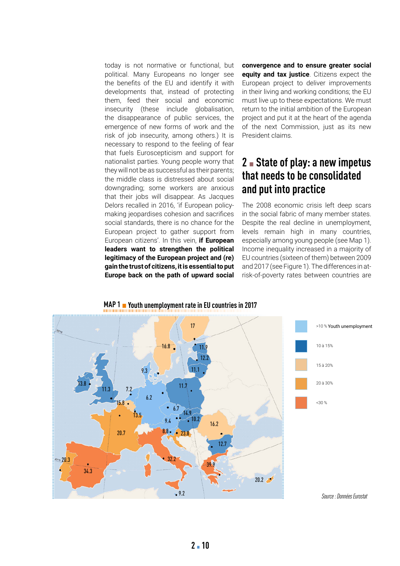today is not normative or functional, but political. Many Europeans no longer see the benefits of the EU and identify it with developments that, instead of protecting them, feed their social and economic insecurity (these include globalisation, the disappearance of public services, the emergence of new forms of work and the risk of job insecurity, among others.) It is necessary to respond to the feeling of fear that fuels Euroscepticism and support for nationalist parties. Young people worry that they will not be as successful as their parents; the middle class is distressed about social downgrading; some workers are anxious that their jobs will disappear. As Jacques Delors recalled in 2016, 'if European policymaking jeopardises cohesion and sacrifices social standards, there is no chance for the European project to gather support from European citizens'. In this vein, **if European leaders want to strengthen the political legitimacy of the European project and (re) gain the trust of citizens, it is essential to put Europe back on the path of upward social** 

**convergence and to ensure greater social equity and tax justice**. Citizens expect the European project to deliver improvements in their living and working conditions; the EU must live up to these expectations. We must return to the initial ambition of the European project and put it at the heart of the agenda of the next Commission, just as its new President claims.

# **2** ▪ **State of play: a new impetus that needs to be consolidated and put into practice**

The 2008 economic crisis left deep scars in the social fabric of many member states. Despite the real decline in unemployment, levels remain high in many countries, especially among young people (see Map 1). Income inequality increased in a majority of EU countries (sixteen of them) between 2009 and 2017 (see Figure 1). The differences in atrisk-of-poverty rates between countries are



# **MAP 1 •** Youth unemployment rate in EU countries in 2017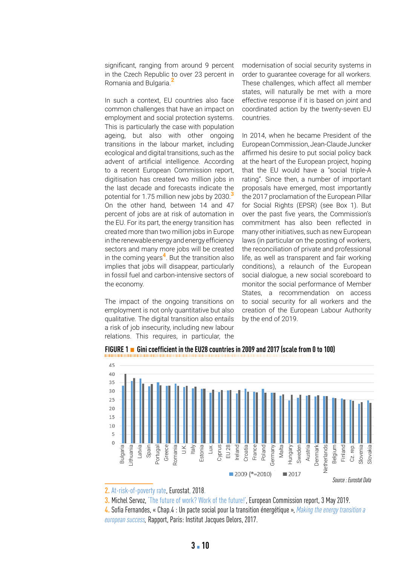significant, ranging from around 9 percent in the Czech Republic to over 23 percent in Romania and Bulgaria.<sup>2</sup>

In such a context, EU countries also face common challenges that have an impact on employment and social protection systems. This is particularly the case with population ageing, but also with other ongoing transitions in the labour market, including ecological and digital transitions, such as the advent of artificial intelligence. According to a recent European Commission report, digitisation has created two million jobs in the last decade and forecasts indicate the potential for 1.75 million new jobs by 2030.<sup>3</sup> On the other hand, between 14 and 47 percent of jobs are at risk of automation in the EU. For its part, the energy transition has created more than two million jobs in Europe in the renewable energy and energy efficiency sectors and many more jobs will be created in the coming years<sup>4</sup>. But the transition also implies that jobs will disappear, particularly in fossil fuel and carbon-intensive sectors of the economy.

The impact of the ongoing transitions on employment is not only quantitative but also qualitative. The digital transition also entails a risk of job insecurity, including new labour relations. This requires, in particular, the

modernisation of social security systems in order to guarantee coverage for all workers. These challenges, which affect all member states, will naturally be met with a more effective response if it is based on joint and coordinated action by the twenty-seven EU countries.

In 2014, when he became President of the European Commission, Jean-Claude Juncker affirmed his desire to put social policy back at the heart of the European project, hoping that the EU would have a "social triple-A rating". Since then, a number of important proposals have emerged, most importantly the 2017 proclamation of the European Pillar for Social Rights (EPSR) (see Box 1). But over the past five years, the Commission's commitment has also been reflected in many other initiatives, such as new European laws (in particular on the posting of workers, the reconciliation of private and professional life, as well as transparent and fair working conditions), a relaunch of the European social dialogue, a new social scoreboard to monitor the social performance of Member States, a recommendation on access to social security for all workers and the creation of the European Labour Authority by the end of 2019.



**FIGURE 1** ▪ **Gini coefficient in the EU28 countries in 2009 and 2017 (scale from 0 to 100)**

**2.** [At-risk-of-poverty rate](https://ec.europa.eu/eurostat/databrowser/view/tessi010/default/table?lang=en), Eurostat, 2018.

**3.** Michel Servoz, ['The future of work? Work of the future!'](https://ec.europa.eu/digital-single-market/en/news/future-work-work-future), European Commission report, 3 May 2019.

**4.** Sofia Fernandes, «Chap.4 : Un pacte social pour la transition énergétique », *[Making the energy transition a](https://institutdelors.eu/wp-content/uploads/2018/01/makingtheenergytransitionaeuropeansuccess-study-pellerincarlinfernandesrubio-june2017-bd.pdf)  [european success,](https://institutdelors.eu/wp-content/uploads/2018/01/makingtheenergytransitionaeuropeansuccess-study-pellerincarlinfernandesrubio-june2017-bd.pdf)* Rapport, Paris: Institut Jacques Delors, 2017.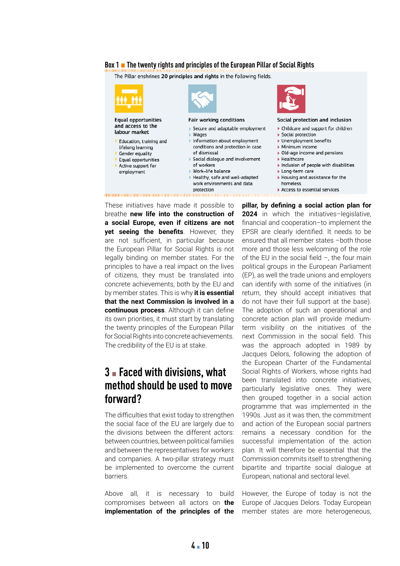#### **Box 1 • The twenty rights and principles of the European Pillar of Social Rights**

The Pillar enshrines 20 principles and rights in the following fields.



Work-life balance Healthy, safe and well-adapted work environments and data protection



#### Social protection and inclusion

- $\blacktriangleright$  Childcare and support for children
- Social protection
- Unemployment benefits
- Minimum income
- $\triangleright$  Old-age income and pensions
- $\blacktriangleright$  Healthcare
- Inclusion of people with disabilities
- Long-term care
- In Housing and assistance for the homeless
- $\blacktriangleright$  Access to essential services

These initiatives have made it possible to breathe **new life into the construction of a social Europe, even if citizens are not yet seeing the benefits**. However, they are not sufficient, in particular because the European Pillar for Social Rights is not legally binding on member states. For the principles to have a real impact on the lives of citizens, they must be translated into concrete achievements, both by the EU and by member states. This is why **it is essential that the next Commission is involved in a continuous process**. Although it can define its own priorities, it must start by translating the twenty principles of the European Pillar for Social Rights into concrete achievements. The credibility of the EU is at stake.

employment

# **3** ▪ **Faced with divisions, what method should be used to move forward?**

The difficulties that exist today to strengthen the social face of the EU are largely due to the divisions between the different actors: between countries, between political families and between the representatives for workers and companies. A two-pillar strategy must be implemented to overcome the current barriers.

Above all, it is necessary to build compromises between all actors on **the implementation of the principles of the** 

**pillar, by defining a social action plan for 2024** in which the initiatives–legislative, financial and cooperation–to implement the EPSR are clearly identified. It needs to be ensured that all member states –both those more and those less welcoming of the role of the EU in the social field –, the four main political groups in the European Parliament (EP), as well the trade unions and employers can identify with some of the initiatives (in return, they should accept initiatives that do not have their full support at the base). The adoption of such an operational and concrete action plan will provide mediumterm visibility on the initiatives of the next Commission in the social field. This was the approach adopted in 1989 by Jacques Delors, following the adoption of the European Charter of the Fundamental Social Rights of Workers, whose rights had been translated into concrete initiatives, particularly legislative ones. They were then grouped together in a social action programme that was implemented in the 1990s. Just as it was then, the commitment and action of the European social partners remains a necessary condition for the successful implementation of the action plan. It will therefore be essential that the Commission commits itself to strengthening bipartite and tripartite social dialogue at European, national and sectoral level.

However, the Europe of today is not the Europe of Jacques Delors. Today European member states are more heterogeneous,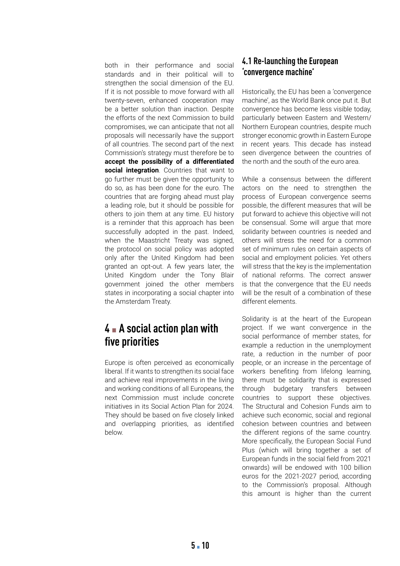both in their performance and social standards and in their political will to strengthen the social dimension of the EU. If it is not possible to move forward with all twenty-seven, enhanced cooperation may be a better solution than inaction. Despite the efforts of the next Commission to build compromises, we can anticipate that not all proposals will necessarily have the support of all countries. The second part of the next Commission's strategy must therefore be to **accept the possibility of a differentiated social integration**. Countries that want to go further must be given the opportunity to do so, as has been done for the euro. The countries that are forging ahead must play a leading role, but it should be possible for others to join them at any time. EU history is a reminder that this approach has been successfully adopted in the past. Indeed, when the Maastricht Treaty was signed, the protocol on social policy was adopted only after the United Kingdom had been granted an opt-out. A few years later, the United Kingdom under the Tony Blair government joined the other members states in incorporating a social chapter into the Amsterdam Treaty.

# **4** ▪ **A social action plan with five priorities**

Europe is often perceived as economically liberal. If it wants to strengthen its social face and achieve real improvements in the living and working conditions of all Europeans, the next Commission must include concrete initiatives in its Social Action Plan for 2024. They should be based on five closely linked and overlapping priorities, as identified below.

### **4.1 Re-launching the European 'convergence machine'**

Historically, the EU has been a 'convergence machine', as the World Bank once put it. But convergence has become less visible today, particularly between Eastern and Western/ Northern European countries, despite much stronger economic growth in Eastern Europe in recent years. This decade has instead seen divergence between the countries of the north and the south of the euro area.

While a consensus between the different actors on the need to strengthen the process of European convergence seems possible, the different measures that will be put forward to achieve this objective will not be consensual. Some will argue that more solidarity between countries is needed and others will stress the need for a common set of minimum rules on certain aspects of social and employment policies. Yet others will stress that the key is the implementation of national reforms. The correct answer is that the convergence that the EU needs will be the result of a combination of these different elements.

Solidarity is at the heart of the European project. If we want convergence in the social performance of member states, for example a reduction in the unemployment rate, a reduction in the number of poor people, or an increase in the percentage of workers benefiting from lifelong learning, there must be solidarity that is expressed through budgetary transfers between countries to support these objectives. The Structural and Cohesion Funds aim to achieve such economic, social and regional cohesion between countries and between the different regions of the same country. More specifically, the European Social Fund Plus (which will bring together a set of European funds in the social field from 2021 onwards) will be endowed with 100 billion euros for the 2021-2027 period, according to the Commission's proposal. Although this amount is higher than the current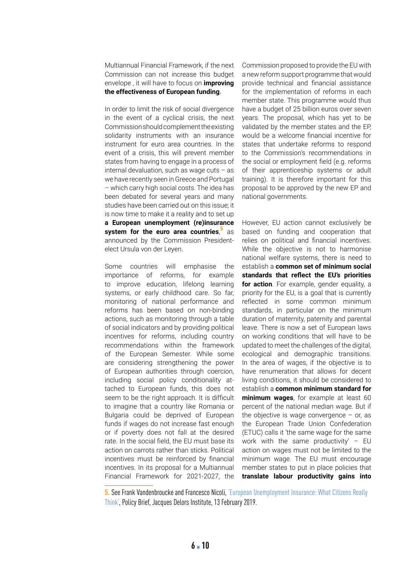Multiannual Financial Framework, if the next Commission can not increase this budget envelope , it will have to focus on **improving the effectiveness of European funding**.

In order to limit the risk of social divergence in the event of a cyclical crisis, the next Commission should complement the existing solidarity instruments with an insurance instrument for euro area countries. In the event of a crisis, this will prevent member states from having to engage in a process of internal devaluation, such as wage cuts – as we have recently seen in Greece and Portugal – which carry high social costs. The idea has been debated for several years and many studies have been carried out on this issue; it is now time to make it a reality and to set up **a European unemployment (re)insurance system for the euro area countries**, <sup>5</sup> as announced by the Commission Presidentelect Ursula von der Leyen.

Some countries will emphasise the importance of reforms, for example to improve education, lifelong learning systems, or early childhood care. So far, monitoring of national performance and reforms has been based on non-binding actions, such as monitoring through a table of social indicators and by providing political incentives for reforms, including country recommendations within the framework of the European Semester. While some are considering strengthening the power of European authorities through coercion, including social policy conditionality attached to European funds, this does not seem to be the right approach. It is difficult to imagine that a country like Romania or Bulgaria could be deprived of European funds if wages do not increase fast enough or if poverty does not fall at the desired rate. In the social field, the EU must base its action on carrots rather than sticks. Political incentives must be reinforced by financial incentives. In its proposal for a Multiannual Financial Framework for 2021-2027, the

Commission proposed to provide the EU with a new reform support programme that would provide technical and financial assistance for the implementation of reforms in each member state. This programme would thus have a budget of 25 billion euros over seven years. The proposal, which has yet to be validated by the member states and the EP, would be a welcome financial incentive for states that undertake reforms to respond to the Commission's recommendations in the social or employment field (e.g. reforms of their apprenticeship systems or adult training). It is therefore important for this proposal to be approved by the new EP and national governments.

However, EU action cannot exclusively be based on funding and cooperation that relies on political and financial incentives. While the objective is not to harmonise national welfare systems, there is need to establish a **common set of minimum social standards that reflect the EU's priorities for action**. For example, gender equality, a priority for the EU, is a goal that is currently reflected in some common minimum standards, in particular on the minimum duration of maternity, paternity and parental leave. There is now a set of European laws on working conditions that will have to be updated to meet the challenges of the digital, ecological and demographic transitions. In the area of wages, if the objective is to have renumeration that allows for decent living conditions, it should be considered to establish a **common minimum standard for minimum wages**, for example at least 60 percent of the national median wage. But if the objective is wage convergence  $-$  or, as the European Trade Union Confederation (ETUC) calls it 'the same wage for the same work with the same productivity'  $-$  EU action on wages must not be limited to the minimum wage. The EU must encourage member states to put in place policies that **translate labour productivity gains into** 

**5.** See Frank Vandenbroucke and Francesco Nicoli, ['European Unemployment Insurance: What Citizens Really](https://institutdelors.eu/wp-content/uploads/2019/02/EuropeanUnemploymentInsurance-VandenbrouckeNicoli-Feb19.pdf)  [Think'](https://institutdelors.eu/wp-content/uploads/2019/02/EuropeanUnemploymentInsurance-VandenbrouckeNicoli-Feb19.pdf), Policy Brief, Jacques Delors Institute, 13 February 2019.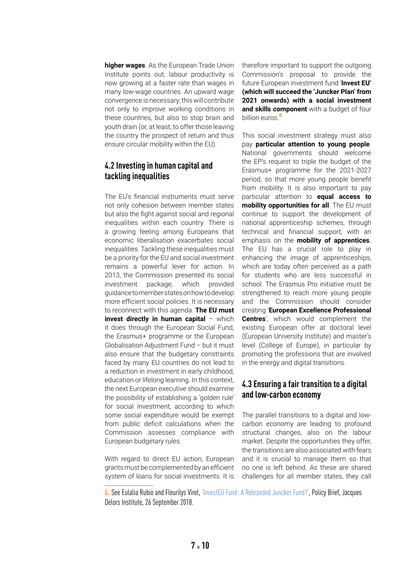**higher wages**. As the European Trade Union Institute points out, labour productivity is now growing at a faster rate than wages in many low-wage countries. An upward wage convergence is necessary; this will contribute not only to improve working conditions in these countries, but also to stop brain and youth drain (or, at least, to offer those leaving the country the prospect of return and thus ensure circular mobility within the EU).

### **4.2 Investing in human capital and tackling inequalities**

The EU's financial instruments must serve not only cohesion between member states but also the fight against social and regional inequalities within each country. There is a growing feeling among Europeans that economic liberalisation exacerbates social inequalities. Tackling these inequalities must be a priority for the EU and social investment remains a powerful lever for action. In 2013, the Commission presented its social investment package, which provided guidance to member states on how to develop more efficient social policies. It is necessary to reconnect with this agenda. **The EU must invest directly in human capital - which** it does through the European Social Fund, the Erasmus+ programme or the European Globalisation Adjustment Fund – but it must also ensure that the budgetary constraints faced by many EU countries do not lead to a reduction in investment in early childhood, education or lifelong learning. In this context, the next European executive should examine the possibility of establishing a 'golden rule' for social investment, according to which some social expenditure would be exempt from public deficit calculations when the Commission assesses compliance with European budgetary rules.

With regard to direct EU action, European grants must be complemented by an efficient system of loans for social investments. It is therefore important to support the outgoing Commission's proposal to provide the future European investment fund '**Invest EU' (which will succeed the 'Juncker Plan' from 2021 onwards) with a social investment and skills component** with a budget of four billion euros<sup>6</sup>

This social investment strategy must also pay **particular attention to young people**. National governments should welcome the EP's request to triple the budget of the Erasmus+ programme for the 2021-2027 period, so that more young people benefit from mobility. It is also important to pay particular attention to **equal access to mobility opportunities for all**. The EU must continue to support the development of national apprenticeship schemes, through technical and financial support, with an emphasis on the **mobility of apprentices**. The EU has a crucial role to play in enhancing the image of apprenticeships, which are today often perceived as a path for students who are less successful in school. The Erasmus Pro initiative must be strengthened to reach more young people and the Commission should consider creating '**European Excellence Professional Centres**', which would complement the existing European offer at doctoral level (European University Institute) and master's level (College of Europe), in particular by promoting the professions that are involved in the energy and digital transitions.

### **4.3 Ensuring a fair transition to a digital and low-carbon economy**

The parallel transitions to a digital and lowcarbon economy are leading to profound structural changes, also on the labour market. Despite the opportunities they offer, the transitions are also associated with fears and it is crucial to manage them so that no one is left behind. As these are shared challenges for all member states, they call

**6.** See Eulalia Rubio and Fleurilys Virel, ['InvestEU Fund: A Rebranded Juncker Fund?',](https://institutdelors.eu/wp-content/uploads/2018/09/InvestEUFund-Rubio-Sept18.pdf) Policy Brief, Jacques Delors Institute, 26 September 2018.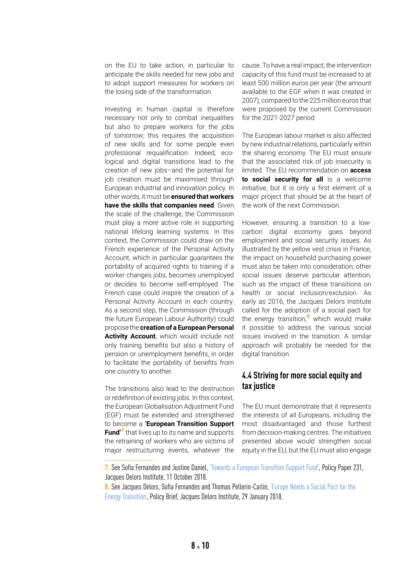on the EU to take action, in particular to anticipate the skills needed for new jobs and to adopt support measures for workers on the losing side of the transformation.

Investing in human capital is therefore necessary not only to combat inequalities but also to prepare workers for the jobs of tomorrow; this requires the acquisition of new skills and for some people even professional requalification. Indeed, ecological and digital transitions lead to the creation of new jobs–and the potential for job creation must be maximised through European industrial and innovation policy. In other words, it must be **ensured that workers have the skills that companies need**. Given the scale of the challenge, the Commission must play a more active role in supporting national lifelong learning systems. In this context, the Commission could draw on the French experience of the Personal Activity Account, which in particular guarantees the portability of acquired rights to training if a worker changes jobs, becomes unemployed or decides to become self-employed. The French case could inspire the creation of a Personal Activity Account in each country. As a second step, the Commission (through the future European Labour Authority) could propose the **creation of a European Personal Activity Account**, which would include not only training benefits but also a history of pension or unemployment benefits, in order to facilitate the portability of benefits from one country to another.

The transitions also lead to the destruction or redefinition of existing jobs. In this context, the European Globalisation Adjustment Fund (EGF) must be extended and strengthened to become a **'European Transition Support Fund'**<sup>7</sup> that lives up to its name and supports the retraining of workers who are victims of major restructuring events, whatever the

cause. To have a real impact, the intervention capacity of this fund must be increased to at least 500 million euros per year (the amount available to the EGF when it was created in 2007), compared to the 225 million euros that were proposed by the current Commission for the 2021-2027 period.

The European labour market is also affected by new industrial relations, particularly within the sharing economy. The EU must ensure that the associated risk of job insecurity is limited. The EU recommendation on **access to social security for all** is a welcome initiative, but it is only a first element of a major project that should be at the heart of the work of the next Commission.

However, ensuring a transition to a lowcarbon digital economy goes beyond employment and social security issues. As illustrated by the yellow vest crisis in France, the impact on household purchasing power must also be taken into consideration; other social issues deserve particular attention, such as the impact of these transitions on health or social inclusion/exclusion. As early as 2016, the Jacques Delors Institute called for the adoption of a social pact for the energy transition,<sup>8</sup> which would make it possible to address the various social issues involved in the transition. A similar approach will probably be needed for the digital transition.

### **4.4 Striving for more social equity and tax justice**

The EU must demonstrate that it represents the interests of all Europeans, including the most disadvantaged and those furthest from decision-making centres. The initiatives presented above would strengthen social equity in the EU, but the EU must also engage

**7.** See Sofia Fernandes and Justine Daniel, ['Towards a European Transition Support Fund',](https://institutdelors.eu/en/publications/vers-un-fonds-europeen-daccompagnement-des-transitions/) Policy Paper 231, Jacques Delors Institute, 11 October 2018.

**8.** See Jacques Delors, Sofia Fernandes and Thomas Pellerin-Carlin, ['Europe Needs a Social Pact for the](https://institutdelors.eu/wp-content/uploads/2018/01/SocialPactforEnergyTransition-DelorsFernandesPellerinCarlin-January18.pdf)  [Energy Transition',](https://institutdelors.eu/wp-content/uploads/2018/01/SocialPactforEnergyTransition-DelorsFernandesPellerinCarlin-January18.pdf) Policy Brief, Jacques Delors Institute, 29 January 2018.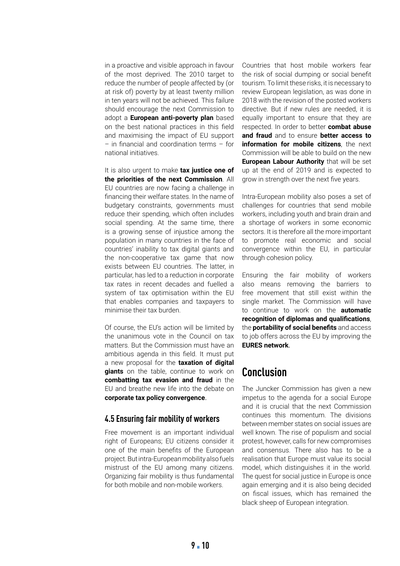in a proactive and visible approach in favour of the most deprived. The 2010 target to reduce the number of people affected by (or at risk of) poverty by at least twenty million in ten years will not be achieved. This failure should encourage the next Commission to adopt a **European anti-poverty plan** based on the best national practices in this field and maximising the impact of EU support – in financial and coordination terms – for national initiatives.

It is also urgent to make **tax justice one of the priorities of the next Commission**. All EU countries are now facing a challenge in financing their welfare states. In the name of budgetary constraints, governments must reduce their spending, which often includes social spending. At the same time, there is a growing sense of injustice among the population in many countries in the face of countries' inability to tax digital giants and the non-cooperative tax game that now exists between EU countries. The latter, in particular, has led to a reduction in corporate tax rates in recent decades and fuelled a system of tax optimisation within the EU that enables companies and taxpayers to minimise their tax burden.

Of course, the EU's action will be limited by the unanimous vote in the Council on tax matters. But the Commission must have an ambitious agenda in this field. It must put a new proposal for the **taxation of digital giants** on the table, continue to work on **combatting tax evasion and fraud** in the EU and breathe new life into the debate on **corporate tax policy convergence**.

#### **4.5 Ensuring fair mobility of workers**

Free movement is an important individual right of Europeans; EU citizens consider it one of the main benefits of the European project. But intra-European mobility also fuels mistrust of the EU among many citizens. Organizing fair mobility is thus fundamental for both mobile and non-mobile workers.

Countries that host mobile workers fear the risk of social dumping or social benefit tourism. To limit these risks, it is necessary to review European legislation, as was done in 2018 with the revision of the posted workers directive. But if new rules are needed, it is equally important to ensure that they are respected. In order to better **combat abuse and fraud** and to ensure **better access to information for mobile citizens**, the next Commission will be able to build on the new **European Labour Authority** that will be set up at the end of 2019 and is expected to grow in strength over the next five years.

Intra-European mobility also poses a set of challenges for countries that send mobile workers, including youth and brain drain and a shortage of workers in some economic sectors. It is therefore all the more important to promote real economic and social convergence within the EU, in particular through cohesion policy.

Ensuring the fair mobility of workers also means removing the barriers to free movement that still exist within the single market. The Commission will have to continue to work on the **automatic recognition of diplomas and qualifications**, the **portability of social benefits** and access to job offers across the EU by improving the **EURES network**.

# **Conclusion**

The Juncker Commission has given a new impetus to the agenda for a social Europe and it is crucial that the next Commission continues this momentum. The divisions between member states on social issues are well known. The rise of populism and social protest, however, calls for new compromises and consensus. There also has to be a realisation that Europe must value its social model, which distinguishes it in the world. The quest for social justice in Europe is once again emerging and it is also being decided on fiscal issues, which has remained the black sheep of European integration.